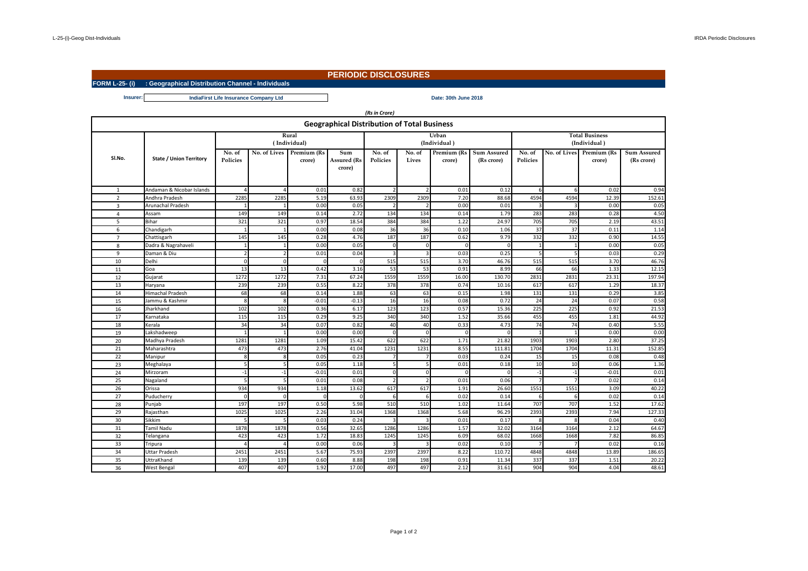## **PERIODIC DISCLOSURES**

**FORM L-25- (i) : Geographical Distribution Channel - Individuals**

**Insurer: Date: 30th June 2018 IndiaFirst Life Insurance Company Ltd**

| (Rs in Crore)                                      |                                |             |                        |                          |                    |                          |                            |               |                    |                       |              |              |                    |  |  |
|----------------------------------------------------|--------------------------------|-------------|------------------------|--------------------------|--------------------|--------------------------|----------------------------|---------------|--------------------|-----------------------|--------------|--------------|--------------------|--|--|
| <b>Geographical Distribution of Total Business</b> |                                |             |                        |                          |                    |                          |                            |               |                    |                       |              |              |                    |  |  |
|                                                    |                                |             |                        | Rural                    |                    |                          |                            | Urban         |                    | <b>Total Business</b> |              |              |                    |  |  |
|                                                    |                                |             |                        | (Individual)             |                    |                          |                            | (Individual)  |                    | (Individual)          |              |              |                    |  |  |
|                                                    |                                | No. of      |                        | No. of Lives Premium (Rs | Sum                | No. of                   | No. of                     | Premium (Rs   | <b>Sum Assured</b> | No. of                | No. of Lives | Premium (Rs  | <b>Sum Assured</b> |  |  |
| SI.No.                                             | <b>State / Union Territory</b> | Policies    |                        | crore)                   | <b>Assured</b> (Rs | Policies                 | Lives                      | crore)        | (Rs crore)         | Policies              |              | crore)       | (Rs crore)         |  |  |
|                                                    |                                |             |                        |                          | crore)             |                          |                            |               |                    |                       |              |              |                    |  |  |
|                                                    |                                |             |                        |                          |                    |                          |                            |               |                    |                       |              |              |                    |  |  |
| $\mathbf{1}$                                       | Andaman & Nicobar Islands      | $\Delta$    | $\Delta$               | 0.01                     | 0.82               |                          |                            | 0.01          | 0.12               | 6                     | $\mathsf{G}$ | 0.02         | 0.94               |  |  |
| $\overline{2}$                                     | Andhra Pradesh                 | 2285        | 2285                   | 5.19                     | 63.93              | 2309                     | 2309                       | 7.20          | 88.68              | 4594                  | 4594         | 12.39        | 152.61             |  |  |
| 3                                                  | Arunachal Pradesh              |             |                        | 0.00                     | 0.05               |                          | $\overline{2}$             | 0.00          | 0.01               |                       |              | 0.00         | 0.05               |  |  |
| 4                                                  | Assam                          | 149         | 149                    | 0.14                     | 2.72               | 134                      | 134                        | 0.14          | 1.79               | 283                   | 283          | 0.28         | 4.50               |  |  |
| 5                                                  | Bihar                          | 321         | 321                    | 0.97                     | 18.54              | 384                      | 384                        | 1.22          | 24.97              | 705                   | 705          | 2.19         | 43.51              |  |  |
| 6                                                  | Chandigarh                     |             |                        | 0.00                     | 0.08               | 36                       | 36                         | 0.10          | 1.06               | 37                    | 37           | 0.11         | 1.14               |  |  |
| $\overline{7}$                                     | Chattisgarh                    | 145         | 145                    | 0.28                     | 4.76               | 187                      | 187                        | 0.62          | 9.79               | 332                   | 332          | 0.90         | 14.55              |  |  |
| 8                                                  | Dadra & Nagrahaveli            |             |                        | 0.00                     | 0.05               | $\Omega$                 | $\mathbf 0$                | $\Omega$      | $\Omega$           |                       |              | 0.00         | 0.05               |  |  |
| 9                                                  | Daman & Diu                    |             | $\overline{z}$         | 0.01                     | 0.04               | $\mathbf{3}$             | 3                          | 0.03          | 0.25               | 5                     |              | 0.03         | 0.29               |  |  |
| 10                                                 | Delhi                          | $\mathbf 0$ | $\mathbf 0$            |                          | $\mathbf 0$        | 515                      | 515                        | 3.70          | 46.76              | 515                   | 515          | 3.70         | 46.76              |  |  |
| 11                                                 | Goa                            | 13          | 13                     | 0.42                     | 3.16               | 53                       | 53                         | 0.91          | 8.99               | 66                    | 66           | 1.33         | 12.15              |  |  |
| 12                                                 | Gujarat                        | 1272        | 1272                   | 7.31                     | 67.24              | 1559                     | 1559                       | 16.00         | 130.70             | 2831                  | 2831         | 23.31        | 197.94             |  |  |
| 13                                                 | Haryana                        | 239         | 239                    | 0.55                     | 8.22               | 378                      | 378                        | 0.74          | 10.16              | 617                   | 617          | 1.29         | 18.37              |  |  |
| 14                                                 | Himachal Pradesh               | 68          | 68                     | 0.14                     | 1.88               | 63                       | 63                         | 0.15          | 1.98               | 131                   | 131          | 0.29         | 3.85               |  |  |
| 15                                                 | Jammu & Kashmir                | 8           | 8                      | $-0.01$                  | $-0.13$            | 16                       | 16                         | 0.08          | 0.72               | 24                    | 24           | 0.07         | 0.58               |  |  |
| 16                                                 | Jharkhand                      | 102         | 102                    | 0.36                     | 6.17               | 123                      | 123                        | 0.57          | 15.36              | 225                   | 225          | 0.92         | 21.53              |  |  |
| 17                                                 | Karnataka                      | 115         | 115                    | 0.29                     | 9.25               | 340                      | 340                        | 1.52          | 35.66              | 455                   | 455          | 1.81         | 44.92              |  |  |
| 18                                                 | Kerala                         | 34          | 34                     | 0.07                     | 0.82               | 40                       | 40                         | 0.33          | 4.73               | 74                    | 74           | 0.40         | 5.55               |  |  |
| 19                                                 | Lakshadweep                    |             |                        | 0.00                     | 0.00               | $\Omega$                 | $\Omega$                   | $\sqrt{ }$    | $\Omega$           |                       |              | 0.00         | 0.00               |  |  |
| 20                                                 | Madhya Pradesh                 | 1281        | 1281                   | 1.09                     | 15.42              | 622                      | 622                        | 1.71          | 21.82              | 1903                  | 1903         | 2.80         | 37.25              |  |  |
| 21                                                 | Maharashtra                    | 473         | 473                    | 2.76                     | 41.04              | 1231                     | 1231                       | 8.55          | 111.81             | 1704                  | 1704         | 11.31        | 152.85             |  |  |
| 22                                                 | Manipur                        | 8           | 8                      | 0.05                     | 0.23               |                          |                            | 0.03          | 0.24               | 15                    | 15           | 0.08         | 0.48               |  |  |
| 23                                                 | Meghalaya                      |             | 5                      | 0.05                     | 1.18               | $\overline{\phantom{a}}$ | 5                          | 0.01          | 0.18               | 10                    | 10           | 0.06         | 1.36               |  |  |
| 24                                                 | Mirzoram                       | $-1$        | $-1$<br>5              | $-0.01$                  | 0.01               | $\Omega$                 | $\Omega$<br>$\overline{z}$ | $\mathcal{L}$ | $\Omega$           | $-1$                  | $-1$         | $-0.01$      | 0.01               |  |  |
| 25                                                 | Nagaland                       | 5           |                        | 0.01                     | 0.08               | $\overline{2}$           |                            | 0.01          | 0.06               |                       |              | 0.02         | 0.14               |  |  |
| 26                                                 | Orissa                         | 934         | 934<br>$\Omega$        | 1.18                     | 13.62              | 617<br>6                 | 617<br>6                   | 1.91          | 26.60<br>0.14      | 1551                  | 1551         | 3.09         | 40.22              |  |  |
| 27<br>28                                           | Puducherry<br>Punjab           | 197         | 197                    | 0.50                     | $\Omega$<br>5.98   | 510                      | 510                        | 0.02<br>1.02  | 11.64              | 707                   | 707          | 0.02<br>1.52 | 0.14<br>17.62      |  |  |
|                                                    |                                | 1025        | 1025                   | 2.26                     | 31.04              | 1368                     | 1368                       | 5.68          | 96.29              | 2393                  | 2393         | 7.94         | 127.33             |  |  |
| 29<br>30                                           | Rajasthan<br>Sikkim            |             | 5                      | 0.03                     | 0.24               | $\overline{\mathbf{a}}$  | $\mathbf{3}$               | 0.01          | 0.17               | R                     |              | 0.04         | 0.40               |  |  |
| 31                                                 | <b>Tamil Nadu</b>              | 1878        | 1878                   | 0.56                     | 32.65              | 1286                     | 1286                       | 1.57          | 32.02              | 3164                  | 3164         | 2.12         | 64.67              |  |  |
| 32                                                 | Telangana                      | 423         | 423                    | 1.72                     | 18.83              | 1245                     | 1245                       | 6.09          | 68.02              | 1668                  | 1668         | 7.82         | 86.85              |  |  |
| 33                                                 | Tripura                        |             | $\boldsymbol{\Lambda}$ | 0.00                     | 0.06               | $\overline{\mathbf{a}}$  | $\mathbf{3}$               | 0.02          | 0.10               |                       |              | 0.02         | 0.16               |  |  |
| 34                                                 | <b>Uttar Pradesh</b>           | 2451        | 2451                   | 5.67                     | 75.93              | 2397                     | 2397                       | 8.22          | 110.72             | 4848                  | 4848         | 13.89        | 186.65             |  |  |
| 35                                                 | UttraKhand                     | 139         | 139                    | 0.60                     | 8.88               | 198                      | 198                        | 0.91          | 11.34              | 337                   | 337          | 1.51         | 20.22              |  |  |
| 36                                                 | West Bengal                    | 407         | 407                    | 1.92                     | 17.00              | 497                      | 497                        | 2.12          | 31.61              | 904                   | 904          | 4.04         | 48.61              |  |  |